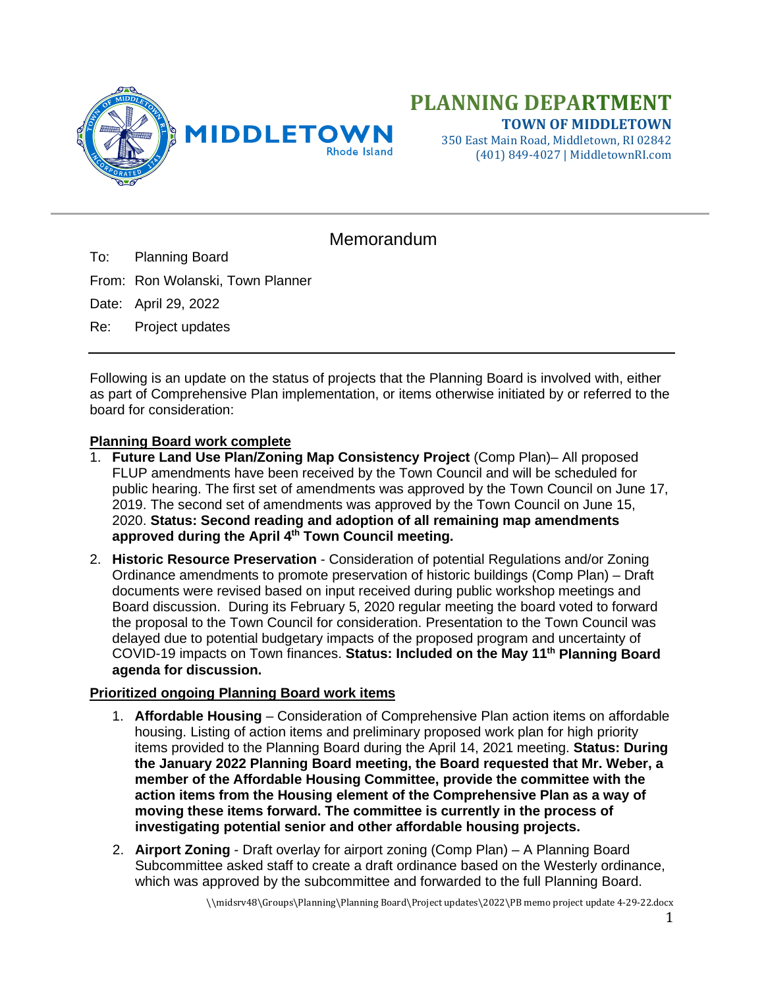

350 East Main Road, Middletown, RI 02842 (401) 849-4027 | MiddletownRI.com

## Memorandum

To: Planning Board

From: Ron Wolanski, Town Planner

Date: April 29, 2022

Re: Project updates

Following is an update on the status of projects that the Planning Board is involved with, either as part of Comprehensive Plan implementation, or items otherwise initiated by or referred to the board for consideration:

## **Planning Board work complete**

- 1. **Future Land Use Plan/Zoning Map Consistency Project** (Comp Plan)– All proposed FLUP amendments have been received by the Town Council and will be scheduled for public hearing. The first set of amendments was approved by the Town Council on June 17, 2019. The second set of amendments was approved by the Town Council on June 15, 2020. **Status: Second reading and adoption of all remaining map amendments approved during the April 4th Town Council meeting.**
- 2. **Historic Resource Preservation** Consideration of potential Regulations and/or Zoning Ordinance amendments to promote preservation of historic buildings (Comp Plan) – Draft documents were revised based on input received during public workshop meetings and Board discussion. During its February 5, 2020 regular meeting the board voted to forward the proposal to the Town Council for consideration. Presentation to the Town Council was delayed due to potential budgetary impacts of the proposed program and uncertainty of COVID-19 impacts on Town finances. **Status: Included on the May 11th Planning Board agenda for discussion.**

## **Prioritized ongoing Planning Board work items**

- 1. **Affordable Housing** Consideration of Comprehensive Plan action items on affordable housing. Listing of action items and preliminary proposed work plan for high priority items provided to the Planning Board during the April 14, 2021 meeting. **Status: During the January 2022 Planning Board meeting, the Board requested that Mr. Weber, a member of the Affordable Housing Committee, provide the committee with the action items from the Housing element of the Comprehensive Plan as a way of moving these items forward. The committee is currently in the process of investigating potential senior and other affordable housing projects.**
- 2. **Airport Zoning** Draft overlay for airport zoning (Comp Plan) A Planning Board Subcommittee asked staff to create a draft ordinance based on the Westerly ordinance, which was approved by the subcommittee and forwarded to the full Planning Board.